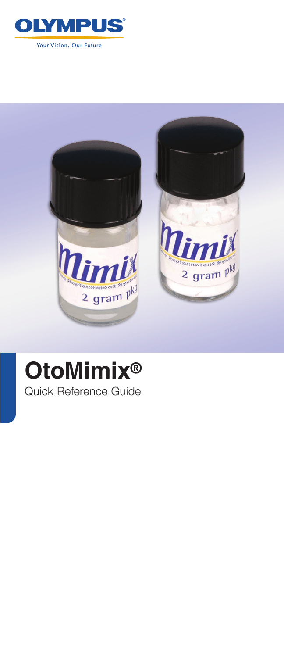



# **OtoMimix®** Quick Reference Guide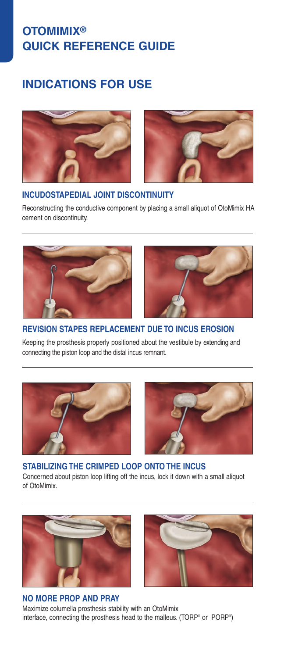# **OTOMIMIX® QUICK REFERENCE GUIDE**

# **INDICATIONS FOR USE**





### **INCUDOSTAPEDIAL JOINT DISCONTINUITY**

Reconstructing the conductive component by placing a small aliquot of OtoMimix HA cement on discontinuity.





### **REVISION STAPES REPLACEMENT DUE TO INCUS EROSION**

Keeping the prosthesis properly positioned about the vestibule by extending and connecting the piston loop and the distal incus remnant.





### **STABILIZING THE CRIMPED LOOP ONTO THE INCUS**

Concerned about piston loop lifting off the incus, lock it down with a small aliquot of OtoMimix.



### **NO MORE PROP AND PRAY**



Maximize columella prosthesis stability with an OtoMimix interface, connecting the prosthesis head to the malleus. (TORP® or PORP® )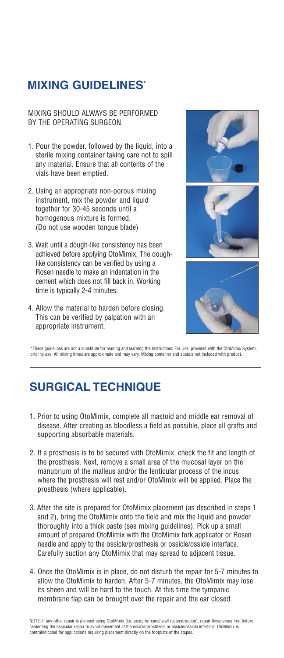# **MIXING GUIDELINES\***

MIXING SHOULD ALWAYS BE PERFORMED BY THE OPERATING SURGEON.

- 1. Pour the powder, followed by the liquid, into a sterile mixing container taking care not to spill any material. Ensure that all contents of the vials have been emptied.
- 2. Using an appropriate non-porous mixing instrument, mix the powder and liquid together for 30-45 seconds until a homogenous mixture is formed. (Do not use wooden tongue blade)
- 3. Wait until a dough-like consistency has been achieved before applying OtoMimix. The doughlike consistency can be verified by using a Rosen needle to make an indentation in the cement which does not fill back in. Working time is typically 2-4 minutes.
- 4. Allow the material to harden before closing. This can be verified by palpation with an appropriate instrument.



\*These guidelines are not a substitute for reading and learning the Instructions For Use, provided with the OtoMimix System, prior to use. All mixing times are approximate and may vary. Mixing container and spatula not included with product.

# **SURGICAL TECHNIQUE**

- 1. Prior to using OtoMimix, complete all mastoid and middle ear removal of disease. After creating as bloodless a field as possible, place all grafts and supporting absorbable materials.
- 2. If a prosthesis is to be secured with OtoMimix, check the fit and length of the prosthesis. Next, remove a small area of the mucosal layer on the manubrium of the malleus and/or the lenticular process of the incus where the prosthesis will rest and/or OtoMimix will be applied. Place the prosthesis (where applicable).
- 3. After the site is prepared for OtoMimix placement (as described in steps 1 and 2), bring the OtoMimix onto the field and mix the liquid and powder thoroughly into a thick paste (see mixing guidelines). Pick up a small amount of prepared OtoMimix with the OtoMimix fork applicator or Rosen needle and apply to the ossicle/prosthesis or ossicle/ossicle interface. Carefully suction any OtoMimix that may spread to adjacent tissue.
- 4. Once the OtoMimix is in place, do not disturb the repair for 5-7 minutes to allow the OtoMimix to harden. After 5-7 minutes, the OtoMimix may lose its sheen and will be hard to the touch. At this time the tympanic membrane flap can be brought over the repair and the ear closed.